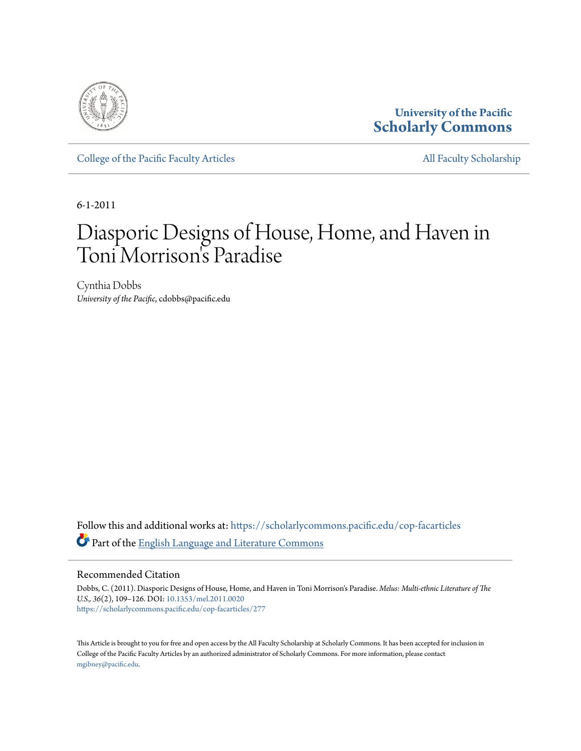

# **University of the Pacific [Scholarly Commons](https://scholarlycommons.pacific.edu?utm_source=scholarlycommons.pacific.edu%2Fcop-facarticles%2F277&utm_medium=PDF&utm_campaign=PDFCoverPages)**

[College of the Pacific Faculty Articles](https://scholarlycommons.pacific.edu/cop-facarticles?utm_source=scholarlycommons.pacific.edu%2Fcop-facarticles%2F277&utm_medium=PDF&utm_campaign=PDFCoverPages) [All Faculty Scholarship](https://scholarlycommons.pacific.edu/cop-facultyworks?utm_source=scholarlycommons.pacific.edu%2Fcop-facarticles%2F277&utm_medium=PDF&utm_campaign=PDFCoverPages)

6-1-2011

# Diasporic Designs of House, Home, and Haven in Toni Morrison 's Paradise

Cynthia Dobbs *University of the Pacific*, cdobbs@pacific.edu

Follow this and additional works at: [https://scholarlycommons.pacific.edu/cop-facarticles](https://scholarlycommons.pacific.edu/cop-facarticles?utm_source=scholarlycommons.pacific.edu%2Fcop-facarticles%2F277&utm_medium=PDF&utm_campaign=PDFCoverPages) Part of the [English Language and Literature Commons](http://network.bepress.com/hgg/discipline/455?utm_source=scholarlycommons.pacific.edu%2Fcop-facarticles%2F277&utm_medium=PDF&utm_campaign=PDFCoverPages)

#### Recommended Citation

Dobbs, C. (2011). Diasporic Designs of House, Home, and Haven in Toni Morrison's Paradise. *Melus: Multi-ethnic Literature of The U.S., 36*(2), 109–126. DOI: [10.1353/mel.2011.0020](http://dx.doi.org/10.1353/mel.2011.0020) [https://scholarlycommons.pacific.edu/cop-facarticles/277](https://scholarlycommons.pacific.edu/cop-facarticles/277?utm_source=scholarlycommons.pacific.edu%2Fcop-facarticles%2F277&utm_medium=PDF&utm_campaign=PDFCoverPages)

This Article is brought to you for free and open access by the All Faculty Scholarship at Scholarly Commons. It has been accepted for inclusion in College of the Pacific Faculty Articles by an authorized administrator of Scholarly Commons. For more information, please contact [mgibney@pacific.edu.](mailto:mgibney@pacific.edu)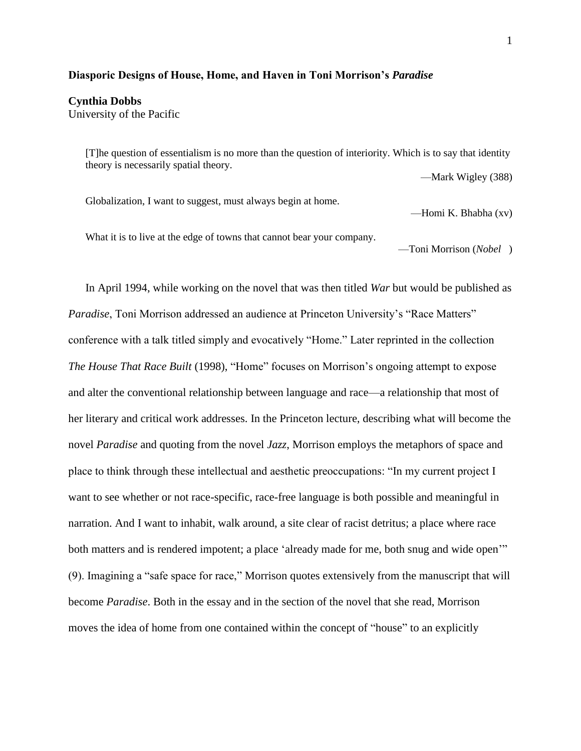#### **Diasporic Designs of House, Home, and Haven in Toni Morrison's** *Paradise*

#### **Cynthia Dobbs**

University of the Pacific

[T]he question of essentialism is no more than the question of interiority. Which is to say that identity theory is necessarily spatial theory. —Mark Wigley (388)

Globalization, I want to suggest, must always begin at home. —Homi K. Bhabha (xv)

What it is to live at the edge of towns that cannot bear your company.

—Toni Morrison (*Nobel* )

In April 1994, while working on the novel that was then titled *War* but would be published as *Paradise*, Toni Morrison addressed an audience at Princeton University's "Race Matters" conference with a talk titled simply and evocatively "Home." Later reprinted in the collection *The House That Race Built* (1998), "Home" focuses on Morrison's ongoing attempt to expose and alter the conventional relationship between language and race—a relationship that most of her literary and critical work addresses. In the Princeton lecture, describing what will become the novel *Paradise* and quoting from the novel *Jazz*, Morrison employs the metaphors of space and place to think through these intellectual and aesthetic preoccupations: "In my current project I want to see whether or not race-specific, race-free language is both possible and meaningful in narration. And I want to inhabit, walk around, a site clear of racist detritus; a place where race both matters and is rendered impotent; a place 'already made for me, both snug and wide open'" (9). Imagining a "safe space for race," Morrison quotes extensively from the manuscript that will become *Paradise*. Both in the essay and in the section of the novel that she read, Morrison moves the idea of home from one contained within the concept of "house" to an explicitly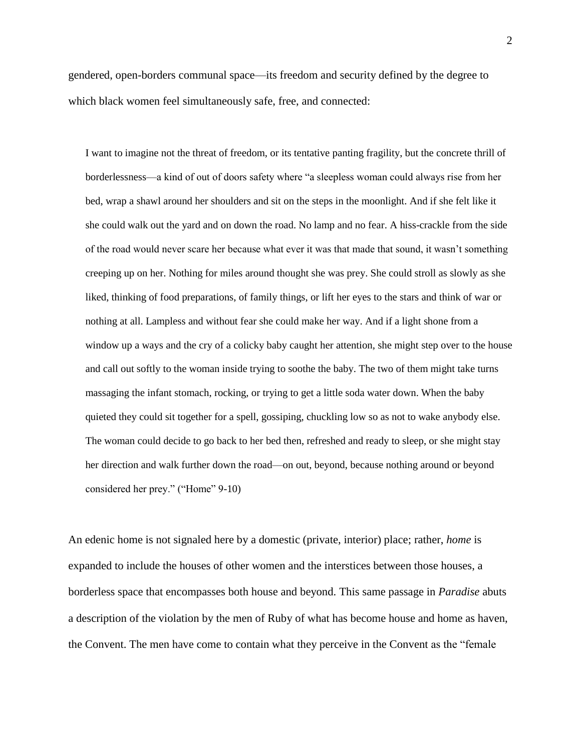gendered, open-borders communal space—its freedom and security defined by the degree to which black women feel simultaneously safe, free, and connected:

I want to imagine not the threat of freedom, or its tentative panting fragility, but the concrete thrill of borderlessness—a kind of out of doors safety where "a sleepless woman could always rise from her bed, wrap a shawl around her shoulders and sit on the steps in the moonlight. And if she felt like it she could walk out the yard and on down the road. No lamp and no fear. A hiss-crackle from the side of the road would never scare her because what ever it was that made that sound, it wasn't something creeping up on her. Nothing for miles around thought she was prey. She could stroll as slowly as she liked, thinking of food preparations, of family things, or lift her eyes to the stars and think of war or nothing at all. Lampless and without fear she could make her way. And if a light shone from a window up a ways and the cry of a colicky baby caught her attention, she might step over to the house and call out softly to the woman inside trying to soothe the baby. The two of them might take turns massaging the infant stomach, rocking, or trying to get a little soda water down. When the baby quieted they could sit together for a spell, gossiping, chuckling low so as not to wake anybody else. The woman could decide to go back to her bed then, refreshed and ready to sleep, or she might stay her direction and walk further down the road—on out, beyond, because nothing around or beyond considered her prey." ("Home" 9-10)

An edenic home is not signaled here by a domestic (private, interior) place; rather, *home* is expanded to include the houses of other women and the interstices between those houses, a borderless space that encompasses both house and beyond. This same passage in *Paradise* abuts a description of the violation by the men of Ruby of what has become house and home as haven, the Convent. The men have come to contain what they perceive in the Convent as the "female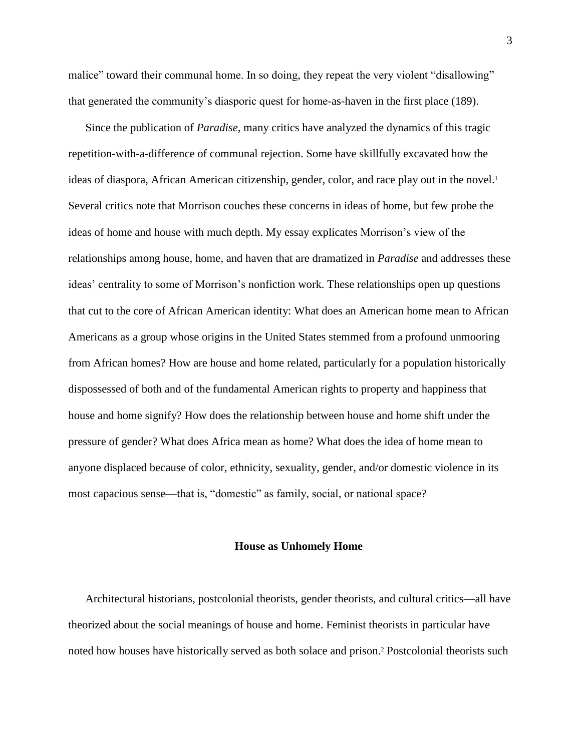malice" toward their communal home. In so doing, they repeat the very violent "disallowing" that generated the community's diasporic quest for home-as-haven in the first place (189).

Since the publication of *Paradise*, many critics have analyzed the dynamics of this tragic repetition-with-a-difference of communal rejection. Some have skillfully excavated how the ideas of diaspora, African American citizenship, gender, color, and race play out in the novel.<sup>1</sup> Several critics note that Morrison couches these concerns in ideas of home, but few probe the ideas of home and house with much depth. My essay explicates Morrison's view of the relationships among house, home, and haven that are dramatized in *Paradise* and addresses these ideas' centrality to some of Morrison's nonfiction work. These relationships open up questions that cut to the core of African American identity: What does an American home mean to African Americans as a group whose origins in the United States stemmed from a profound unmooring from African homes? How are house and home related, particularly for a population historically dispossessed of both and of the fundamental American rights to property and happiness that house and home signify? How does the relationship between house and home shift under the pressure of gender? What does Africa mean as home? What does the idea of home mean to anyone displaced because of color, ethnicity, sexuality, gender, and/or domestic violence in its most capacious sense—that is, "domestic" as family, social, or national space?

#### **House as Unhomely Home**

Architectural historians, postcolonial theorists, gender theorists, and cultural critics—all have theorized about the social meanings of house and home. Feminist theorists in particular have noted how houses have historically served as both solace and prison.<sup>2</sup> Postcolonial theorists such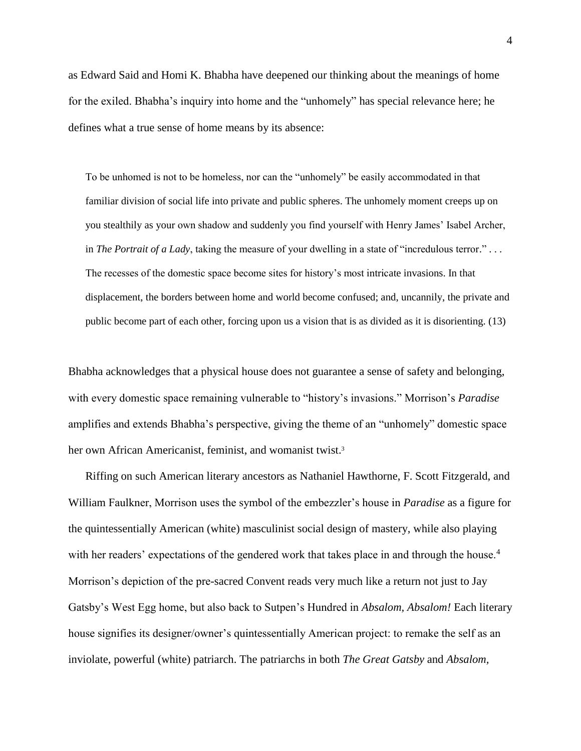as Edward Said and Homi K. Bhabha have deepened our thinking about the meanings of home for the exiled. Bhabha's inquiry into home and the "unhomely" has special relevance here; he defines what a true sense of home means by its absence:

To be unhomed is not to be homeless, nor can the "unhomely" be easily accommodated in that familiar division of social life into private and public spheres. The unhomely moment creeps up on you stealthily as your own shadow and suddenly you find yourself with Henry James' Isabel Archer, in *The Portrait of a Lady*, taking the measure of your dwelling in a state of "incredulous terror." . . . The recesses of the domestic space become sites for history's most intricate invasions. In that displacement, the borders between home and world become confused; and, uncannily, the private and public become part of each other, forcing upon us a vision that is as divided as it is disorienting. (13)

Bhabha acknowledges that a physical house does not guarantee a sense of safety and belonging, with every domestic space remaining vulnerable to "history's invasions." Morrison's *Paradise* amplifies and extends Bhabha's perspective, giving the theme of an "unhomely" domestic space her own African Americanist, feminist, and womanist twist.<sup>3</sup>

Riffing on such American literary ancestors as Nathaniel Hawthorne, F. Scott Fitzgerald, and William Faulkner, Morrison uses the symbol of the embezzler's house in *Paradise* as a figure for the quintessentially American (white) masculinist social design of mastery, while also playing with her readers' expectations of the gendered work that takes place in and through the house.<sup>4</sup> Morrison's depiction of the pre-sacred Convent reads very much like a return not just to Jay Gatsby's West Egg home, but also back to Sutpen's Hundred in *Absalom, Absalom!* Each literary house signifies its designer/owner's quintessentially American project: to remake the self as an inviolate, powerful (white) patriarch. The patriarchs in both *The Great Gatsby* and *Absalom,*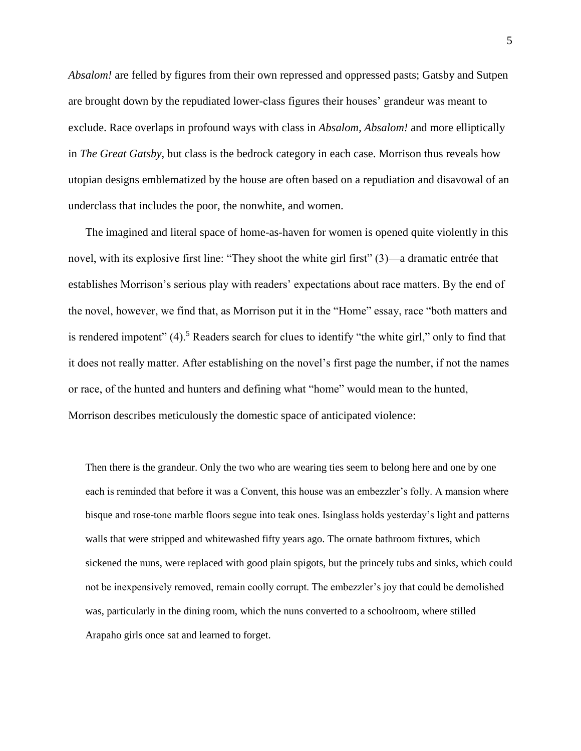*Absalom!* are felled by figures from their own repressed and oppressed pasts; Gatsby and Sutpen are brought down by the repudiated lower-class figures their houses' grandeur was meant to exclude. Race overlaps in profound ways with class in *Absalom, Absalom!* and more elliptically in *The Great Gatsby*, but class is the bedrock category in each case. Morrison thus reveals how utopian designs emblematized by the house are often based on a repudiation and disavowal of an underclass that includes the poor, the nonwhite, and women.

The imagined and literal space of home-as-haven for women is opened quite violently in this novel, with its explosive first line: "They shoot the white girl first" (3)—a dramatic entrée that establishes Morrison's serious play with readers' expectations about race matters. By the end of the novel, however, we find that, as Morrison put it in the "Home" essay, race "both matters and is rendered impotent"  $(4)$ .<sup>5</sup> Readers search for clues to identify "the white girl," only to find that it does not really matter. After establishing on the novel's first page the number, if not the names or race, of the hunted and hunters and defining what "home" would mean to the hunted, Morrison describes meticulously the domestic space of anticipated violence:

Then there is the grandeur. Only the two who are wearing ties seem to belong here and one by one each is reminded that before it was a Convent, this house was an embezzler's folly. A mansion where bisque and rose-tone marble floors segue into teak ones. Isinglass holds yesterday's light and patterns walls that were stripped and whitewashed fifty years ago. The ornate bathroom fixtures, which sickened the nuns, were replaced with good plain spigots, but the princely tubs and sinks, which could not be inexpensively removed, remain coolly corrupt. The embezzler's joy that could be demolished was, particularly in the dining room, which the nuns converted to a schoolroom, where stilled Arapaho girls once sat and learned to forget.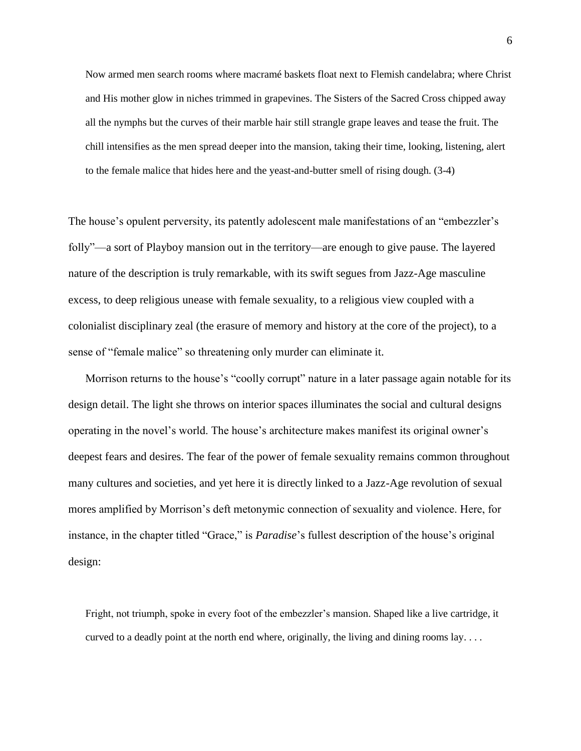Now armed men search rooms where macramé baskets float next to Flemish candelabra; where Christ and His mother glow in niches trimmed in grapevines. The Sisters of the Sacred Cross chipped away all the nymphs but the curves of their marble hair still strangle grape leaves and tease the fruit. The chill intensifies as the men spread deeper into the mansion, taking their time, looking, listening, alert to the female malice that hides here and the yeast-and-butter smell of rising dough. (3-4)

The house's opulent perversity, its patently adolescent male manifestations of an "embezzler's folly"—a sort of Playboy mansion out in the territory—are enough to give pause. The layered nature of the description is truly remarkable, with its swift segues from Jazz-Age masculine excess, to deep religious unease with female sexuality, to a religious view coupled with a colonialist disciplinary zeal (the erasure of memory and history at the core of the project), to a sense of "female malice" so threatening only murder can eliminate it.

Morrison returns to the house's "coolly corrupt" nature in a later passage again notable for its design detail. The light she throws on interior spaces illuminates the social and cultural designs operating in the novel's world. The house's architecture makes manifest its original owner's deepest fears and desires. The fear of the power of female sexuality remains common throughout many cultures and societies, and yet here it is directly linked to a Jazz-Age revolution of sexual mores amplified by Morrison's deft metonymic connection of sexuality and violence. Here, for instance, in the chapter titled "Grace," is *Paradise*'s fullest description of the house's original design:

Fright, not triumph, spoke in every foot of the embezzler's mansion. Shaped like a live cartridge, it curved to a deadly point at the north end where, originally, the living and dining rooms  $\text{lay} \dots$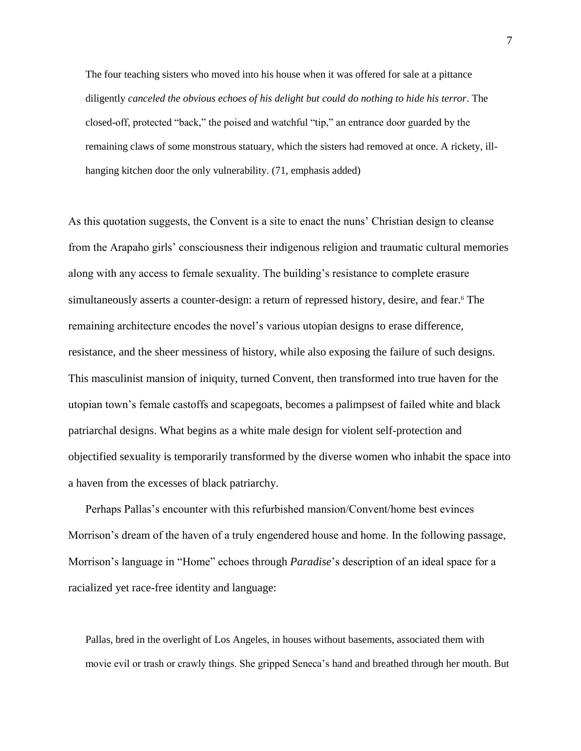The four teaching sisters who moved into his house when it was offered for sale at a pittance diligently *canceled the obvious echoes of his delight but could do nothing to hide his terror*. The closed-off, protected "back," the poised and watchful "tip," an entrance door guarded by the remaining claws of some monstrous statuary, which the sisters had removed at once. A rickety, illhanging kitchen door the only vulnerability. (71, emphasis added)

As this quotation suggests, the Convent is a site to enact the nuns' Christian design to cleanse from the Arapaho girls' consciousness their indigenous religion and traumatic cultural memories along with any access to female sexuality. The building's resistance to complete erasure simultaneously asserts a counter-design: a return of repressed history, desire, and fear.<sup>6</sup> The remaining architecture encodes the novel's various utopian designs to erase difference, resistance, and the sheer messiness of history, while also exposing the failure of such designs. This masculinist mansion of iniquity, turned Convent, then transformed into true haven for the utopian town's female castoffs and scapegoats, becomes a palimpsest of failed white and black patriarchal designs. What begins as a white male design for violent self-protection and objectified sexuality is temporarily transformed by the diverse women who inhabit the space into a haven from the excesses of black patriarchy.

Perhaps Pallas's encounter with this refurbished mansion/Convent/home best evinces Morrison's dream of the haven of a truly engendered house and home. In the following passage, Morrison's language in "Home" echoes through *Paradise*'s description of an ideal space for a racialized yet race-free identity and language:

Pallas, bred in the overlight of Los Angeles, in houses without basements, associated them with movie evil or trash or crawly things. She gripped Seneca's hand and breathed through her mouth. But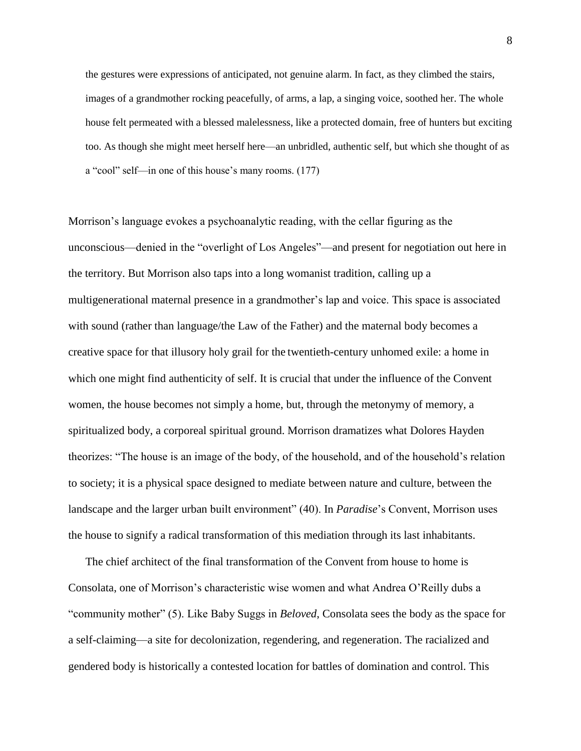the gestures were expressions of anticipated, not genuine alarm. In fact, as they climbed the stairs, images of a grandmother rocking peacefully, of arms, a lap, a singing voice, soothed her. The whole house felt permeated with a blessed malelessness, like a protected domain, free of hunters but exciting too. As though she might meet herself here—an unbridled, authentic self, but which she thought of as a "cool" self—in one of this house's many rooms. (177)

Morrison's language evokes a psychoanalytic reading, with the cellar figuring as the unconscious—denied in the "overlight of Los Angeles"—and present for negotiation out here in the territory. But Morrison also taps into a long womanist tradition, calling up a multigenerational maternal presence in a grandmother's lap and voice. This space is associated with sound (rather than language/the Law of the Father) and the maternal body becomes a creative space for that illusory holy grail for the twentieth-century unhomed exile: a home in which one might find authenticity of self. It is crucial that under the influence of the Convent women, the house becomes not simply a home, but, through the metonymy of memory, a spiritualized body, a corporeal spiritual ground. Morrison dramatizes what Dolores Hayden theorizes: "The house is an image of the body, of the household, and of the household's relation to society; it is a physical space designed to mediate between nature and culture, between the landscape and the larger urban built environment" (40). In *Paradise*'s Convent, Morrison uses the house to signify a radical transformation of this mediation through its last inhabitants.

The chief architect of the final transformation of the Convent from house to home is Consolata, one of Morrison's characteristic wise women and what Andrea O'Reilly dubs a "community mother" (5). Like Baby Suggs in *Beloved*, Consolata sees the body as the space for a self-claiming—a site for decolonization, regendering, and regeneration. The racialized and gendered body is historically a contested location for battles of domination and control. This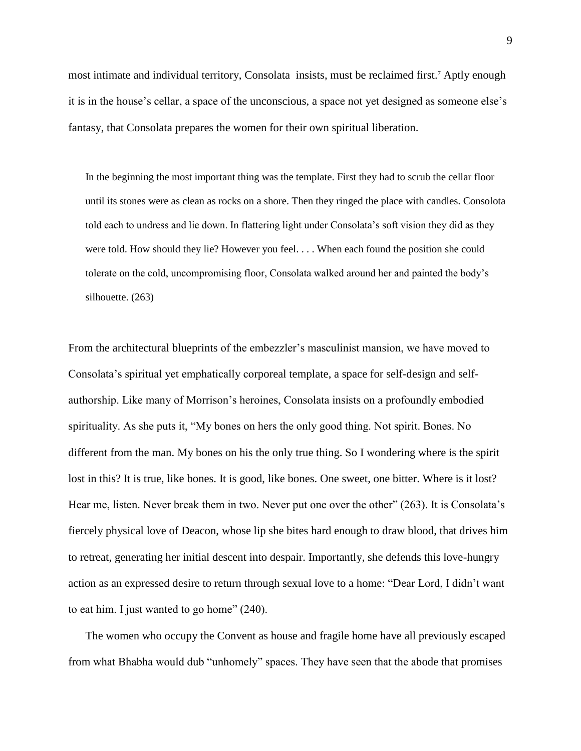most intimate and individual territory, Consolata insists, must be reclaimed first.<sup>7</sup> Aptly enough it is in the house's cellar, a space of the unconscious, a space not yet designed as someone else's fantasy, that Consolata prepares the women for their own spiritual liberation.

In the beginning the most important thing was the template. First they had to scrub the cellar floor until its stones were as clean as rocks on a shore. Then they ringed the place with candles. Consolota told each to undress and lie down. In flattering light under Consolata's soft vision they did as they were told. How should they lie? However you feel. . . . When each found the position she could tolerate on the cold, uncompromising floor, Consolata walked around her and painted the body's silhouette. (263)

From the architectural blueprints of the embezzler's masculinist mansion, we have moved to Consolata's spiritual yet emphatically corporeal template, a space for self-design and selfauthorship. Like many of Morrison's heroines, Consolata insists on a profoundly embodied spirituality. As she puts it, "My bones on hers the only good thing. Not spirit. Bones. No different from the man. My bones on his the only true thing. So I wondering where is the spirit lost in this? It is true, like bones. It is good, like bones. One sweet, one bitter. Where is it lost? Hear me, listen. Never break them in two. Never put one over the other" (263). It is Consolata's fiercely physical love of Deacon, whose lip she bites hard enough to draw blood, that drives him to retreat, generating her initial descent into despair. Importantly, she defends this love-hungry action as an expressed desire to return through sexual love to a home: "Dear Lord, I didn't want to eat him. I just wanted to go home" (240).

The women who occupy the Convent as house and fragile home have all previously escaped from what Bhabha would dub "unhomely" spaces. They have seen that the abode that promises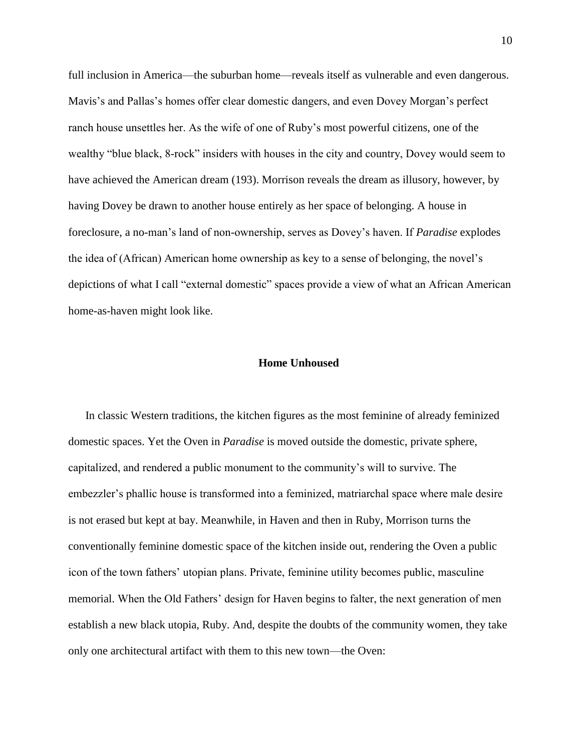full inclusion in America—the suburban home—reveals itself as vulnerable and even dangerous. Mavis's and Pallas's homes offer clear domestic dangers, and even Dovey Morgan's perfect ranch house unsettles her. As the wife of one of Ruby's most powerful citizens, one of the wealthy "blue black, 8-rock" insiders with houses in the city and country, Dovey would seem to have achieved the American dream (193). Morrison reveals the dream as illusory, however, by having Dovey be drawn to another house entirely as her space of belonging. A house in foreclosure, a no-man's land of non-ownership, serves as Dovey's haven. If *Paradise* explodes the idea of (African) American home ownership as key to a sense of belonging, the novel's depictions of what I call "external domestic" spaces provide a view of what an African American home-as-haven might look like.

#### **Home Unhoused**

In classic Western traditions, the kitchen figures as the most feminine of already feminized domestic spaces. Yet the Oven in *Paradise* is moved outside the domestic, private sphere, capitalized, and rendered a public monument to the community's will to survive. The embezzler's phallic house is transformed into a feminized, matriarchal space where male desire is not erased but kept at bay. Meanwhile, in Haven and then in Ruby, Morrison turns the conventionally feminine domestic space of the kitchen inside out, rendering the Oven a public icon of the town fathers' utopian plans. Private, feminine utility becomes public, masculine memorial. When the Old Fathers' design for Haven begins to falter, the next generation of men establish a new black utopia, Ruby. And, despite the doubts of the community women, they take only one architectural artifact with them to this new town—the Oven: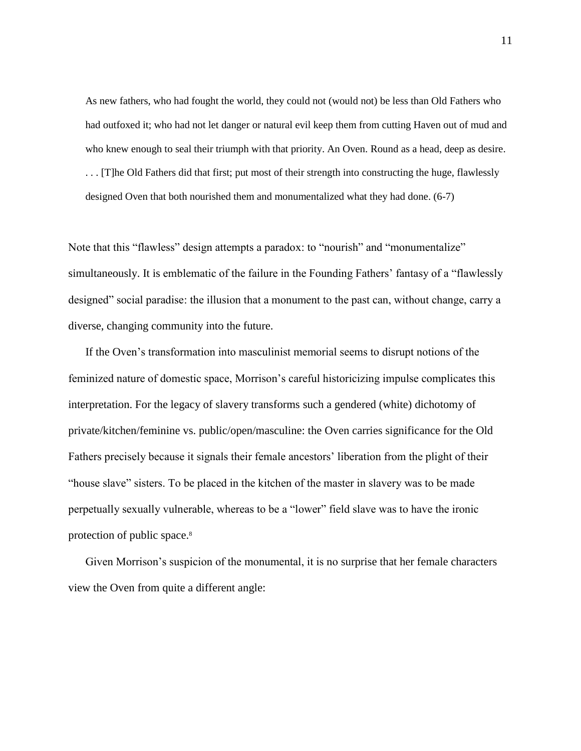As new fathers, who had fought the world, they could not (would not) be less than Old Fathers who had outfoxed it; who had not let danger or natural evil keep them from cutting Haven out of mud and who knew enough to seal their triumph with that priority. An Oven. Round as a head, deep as desire. . . . [T]he Old Fathers did that first; put most of their strength into constructing the huge, flawlessly designed Oven that both nourished them and monumentalized what they had done. (6-7)

Note that this "flawless" design attempts a paradox: to "nourish" and "monumentalize" simultaneously. It is emblematic of the failure in the Founding Fathers' fantasy of a "flawlessly designed" social paradise: the illusion that a monument to the past can, without change, carry a diverse, changing community into the future.

If the Oven's transformation into masculinist memorial seems to disrupt notions of the feminized nature of domestic space, Morrison's careful historicizing impulse complicates this interpretation. For the legacy of slavery transforms such a gendered (white) dichotomy of private/kitchen/feminine vs. public/open/masculine: the Oven carries significance for the Old Fathers precisely because it signals their female ancestors' liberation from the plight of their "house slave" sisters. To be placed in the kitchen of the master in slavery was to be made perpetually sexually vulnerable, whereas to be a "lower" field slave was to have the ironic protection of public space.<sup>8</sup>

Given Morrison's suspicion of the monumental, it is no surprise that her female characters view the Oven from quite a different angle: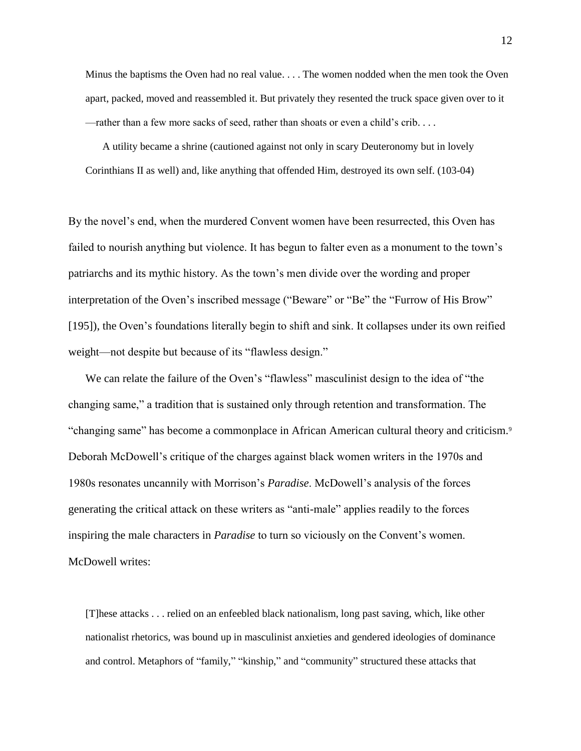Minus the baptisms the Oven had no real value. . . . The women nodded when the men took the Oven apart, packed, moved and reassembled it. But privately they resented the truck space given over to it —rather than a few more sacks of seed, rather than shoats or even a child's crib. . . .

A utility became a shrine (cautioned against not only in scary Deuteronomy but in lovely Corinthians II as well) and, like anything that offended Him, destroyed its own self. (103-04)

By the novel's end, when the murdered Convent women have been resurrected, this Oven has failed to nourish anything but violence. It has begun to falter even as a monument to the town's patriarchs and its mythic history. As the town's men divide over the wording and proper interpretation of the Oven's inscribed message ("Beware" or "Be" the "Furrow of His Brow" [195]), the Oven's foundations literally begin to shift and sink. It collapses under its own reified weight—not despite but because of its "flawless design."

We can relate the failure of the Oven's "flawless" masculinist design to the idea of "the changing same," a tradition that is sustained only through retention and transformation. The "changing same" has become a commonplace in African American cultural theory and criticism.<sup>9</sup> Deborah McDowell's critique of the charges against black women writers in the 1970s and 1980s resonates uncannily with Morrison's *Paradise*. McDowell's analysis of the forces generating the critical attack on these writers as "anti-male" applies readily to the forces inspiring the male characters in *Paradise* to turn so viciously on the Convent's women. McDowell writes:

[T]hese attacks . . . relied on an enfeebled black nationalism, long past saving, which, like other nationalist rhetorics, was bound up in masculinist anxieties and gendered ideologies of dominance and control. Metaphors of "family," "kinship," and "community" structured these attacks that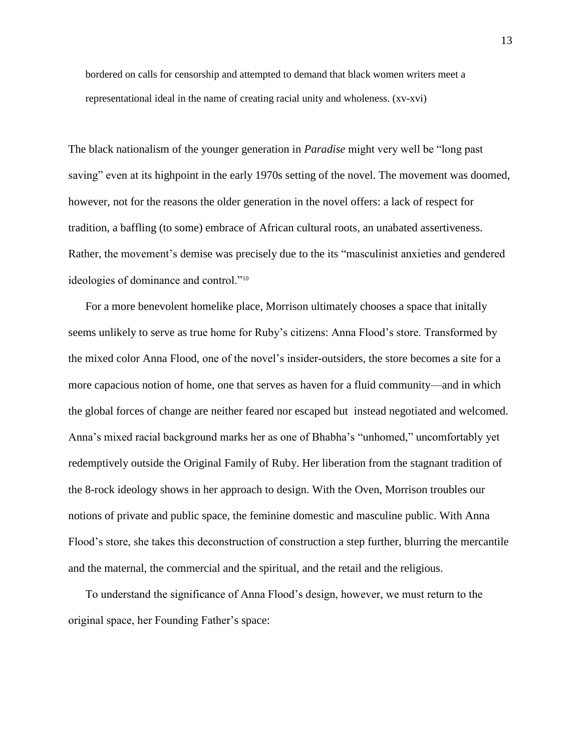bordered on calls for censorship and attempted to demand that black women writers meet a representational ideal in the name of creating racial unity and wholeness. (xv-xvi)

The black nationalism of the younger generation in *Paradise* might very well be "long past saving" even at its highpoint in the early 1970s setting of the novel. The movement was doomed, however, not for the reasons the older generation in the novel offers: a lack of respect for tradition, a baffling (to some) embrace of African cultural roots, an unabated assertiveness. Rather, the movement's demise was precisely due to the its "masculinist anxieties and gendered ideologies of dominance and control."<sup>10</sup>

For a more benevolent homelike place, Morrison ultimately chooses a space that initally seems unlikely to serve as true home for Ruby's citizens: Anna Flood's store. Transformed by the mixed color Anna Flood, one of the novel's insider-outsiders, the store becomes a site for a more capacious notion of home, one that serves as haven for a fluid community—and in which the global forces of change are neither feared nor escaped but instead negotiated and welcomed. Anna's mixed racial background marks her as one of Bhabha's "unhomed," uncomfortably yet redemptively outside the Original Family of Ruby. Her liberation from the stagnant tradition of the 8-rock ideology shows in her approach to design. With the Oven, Morrison troubles our notions of private and public space, the feminine domestic and masculine public. With Anna Flood's store, she takes this deconstruction of construction a step further, blurring the mercantile and the maternal, the commercial and the spiritual, and the retail and the religious.

To understand the significance of Anna Flood's design, however, we must return to the original space, her Founding Father's space:

13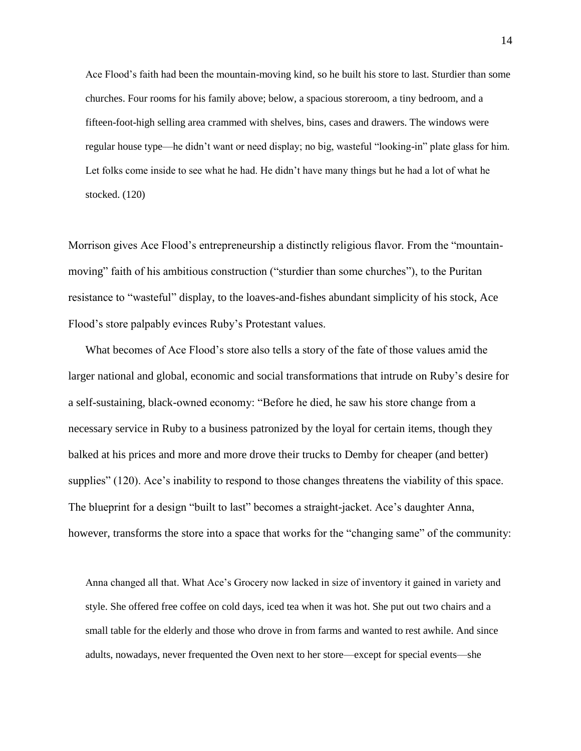Ace Flood's faith had been the mountain-moving kind, so he built his store to last. Sturdier than some churches. Four rooms for his family above; below, a spacious storeroom, a tiny bedroom, and a fifteen-foot-high selling area crammed with shelves, bins, cases and drawers. The windows were regular house type—he didn't want or need display; no big, wasteful "looking-in" plate glass for him. Let folks come inside to see what he had. He didn't have many things but he had a lot of what he stocked. (120)

Morrison gives Ace Flood's entrepreneurship a distinctly religious flavor. From the "mountainmoving" faith of his ambitious construction ("sturdier than some churches"), to the Puritan resistance to "wasteful" display, to the loaves-and-fishes abundant simplicity of his stock, Ace Flood's store palpably evinces Ruby's Protestant values.

What becomes of Ace Flood's store also tells a story of the fate of those values amid the larger national and global, economic and social transformations that intrude on Ruby's desire for a self-sustaining, black-owned economy: "Before he died, he saw his store change from a necessary service in Ruby to a business patronized by the loyal for certain items, though they balked at his prices and more and more drove their trucks to Demby for cheaper (and better) supplies" (120). Ace's inability to respond to those changes threatens the viability of this space. The blueprint for a design "built to last" becomes a straight-jacket. Ace's daughter Anna, however, transforms the store into a space that works for the "changing same" of the community:

Anna changed all that. What Ace's Grocery now lacked in size of inventory it gained in variety and style. She offered free coffee on cold days, iced tea when it was hot. She put out two chairs and a small table for the elderly and those who drove in from farms and wanted to rest awhile. And since adults, nowadays, never frequented the Oven next to her store—except for special events—she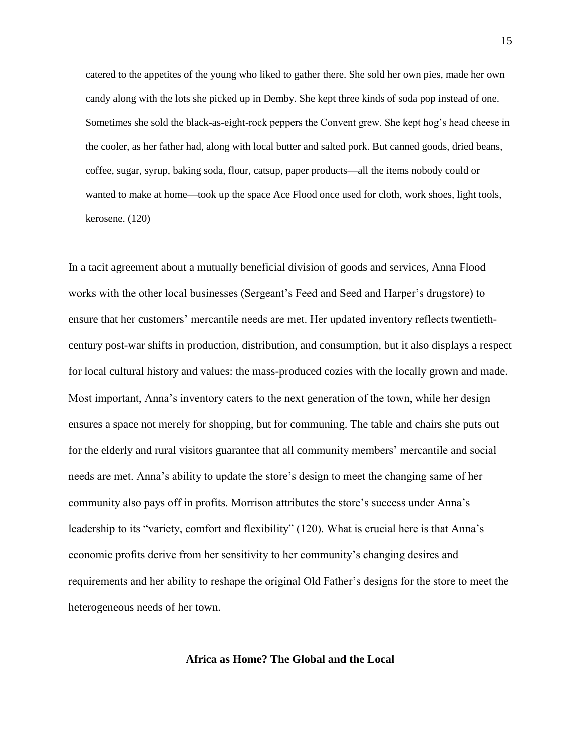catered to the appetites of the young who liked to gather there. She sold her own pies, made her own candy along with the lots she picked up in Demby. She kept three kinds of soda pop instead of one. Sometimes she sold the black-as-eight-rock peppers the Convent grew. She kept hog's head cheese in the cooler, as her father had, along with local butter and salted pork. But canned goods, dried beans, coffee, sugar, syrup, baking soda, flour, catsup, paper products—all the items nobody could or wanted to make at home—took up the space Ace Flood once used for cloth, work shoes, light tools, kerosene. (120)

In a tacit agreement about a mutually beneficial division of goods and services, Anna Flood works with the other local businesses (Sergeant's Feed and Seed and Harper's drugstore) to ensure that her customers' mercantile needs are met. Her updated inventory reflects twentiethcentury post-war shifts in production, distribution, and consumption, but it also displays a respect for local cultural history and values: the mass-produced cozies with the locally grown and made. Most important, Anna's inventory caters to the next generation of the town, while her design ensures a space not merely for shopping, but for communing. The table and chairs she puts out for the elderly and rural visitors guarantee that all community members' mercantile and social needs are met. Anna's ability to update the store's design to meet the changing same of her community also pays off in profits. Morrison attributes the store's success under Anna's leadership to its "variety, comfort and flexibility" (120). What is crucial here is that Anna's economic profits derive from her sensitivity to her community's changing desires and requirements and her ability to reshape the original Old Father's designs for the store to meet the heterogeneous needs of her town.

## **Africa as Home? The Global and the Local**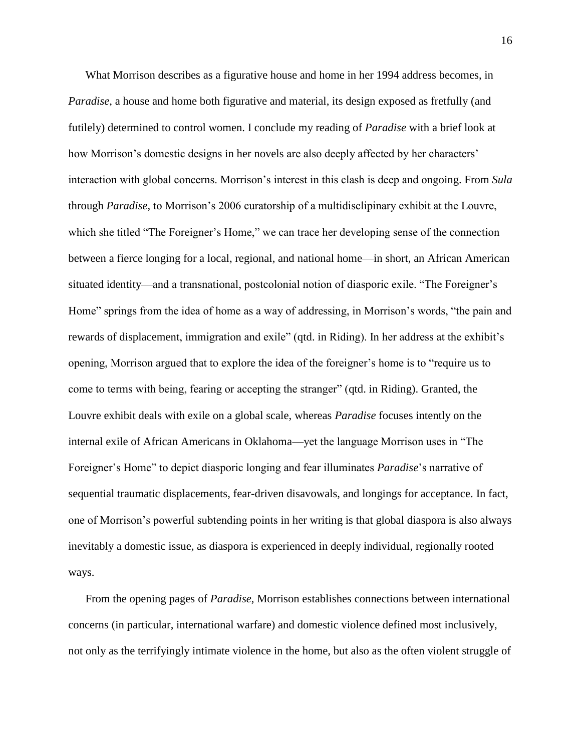What Morrison describes as a figurative house and home in her 1994 address becomes, in *Paradise*, a house and home both figurative and material, its design exposed as fretfully (and futilely) determined to control women. I conclude my reading of *Paradise* with a brief look at how Morrison's domestic designs in her novels are also deeply affected by her characters' interaction with global concerns. Morrison's interest in this clash is deep and ongoing. From *Sula* through *Paradise*, to Morrison's 2006 curatorship of a multidisclipinary exhibit at the Louvre, which she titled "The Foreigner's Home," we can trace her developing sense of the connection between a fierce longing for a local, regional, and national home—in short, an African American situated identity—and a transnational, postcolonial notion of diasporic exile. "The Foreigner's Home" springs from the idea of home as a way of addressing, in Morrison's words, "the pain and rewards of displacement, immigration and exile" (qtd. in Riding). In her address at the exhibit's opening, Morrison argued that to explore the idea of the foreigner's home is to "require us to come to terms with being, fearing or accepting the stranger" (qtd. in Riding). Granted, the Louvre exhibit deals with exile on a global scale, whereas *Paradise* focuses intently on the internal exile of African Americans in Oklahoma—yet the language Morrison uses in "The Foreigner's Home" to depict diasporic longing and fear illuminates *Paradise*'s narrative of sequential traumatic displacements, fear-driven disavowals, and longings for acceptance. In fact, one of Morrison's powerful subtending points in her writing is that global diaspora is also always inevitably a domestic issue, as diaspora is experienced in deeply individual, regionally rooted ways.

From the opening pages of *Paradise*, Morrison establishes connections between international concerns (in particular, international warfare) and domestic violence defined most inclusively, not only as the terrifyingly intimate violence in the home, but also as the often violent struggle of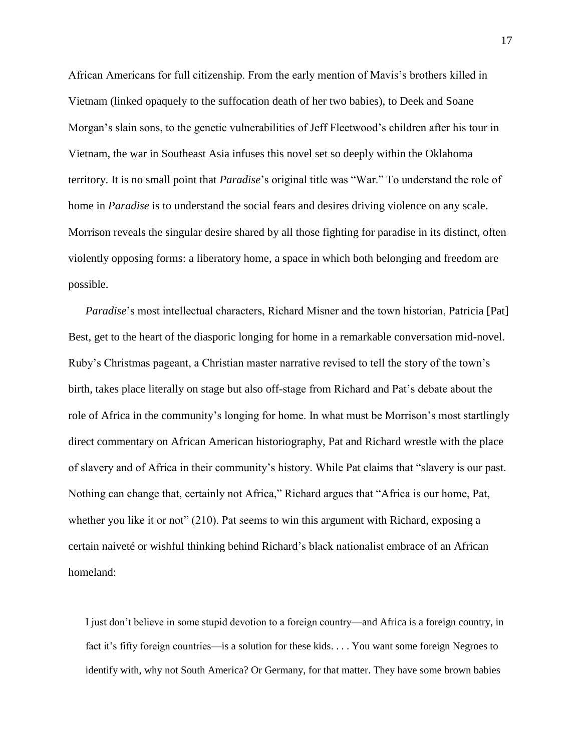African Americans for full citizenship. From the early mention of Mavis's brothers killed in Vietnam (linked opaquely to the suffocation death of her two babies), to Deek and Soane Morgan's slain sons, to the genetic vulnerabilities of Jeff Fleetwood's children after his tour in Vietnam, the war in Southeast Asia infuses this novel set so deeply within the Oklahoma territory. It is no small point that *Paradise*'s original title was "War." To understand the role of home in *Paradise* is to understand the social fears and desires driving violence on any scale. Morrison reveals the singular desire shared by all those fighting for paradise in its distinct, often violently opposing forms: a liberatory home, a space in which both belonging and freedom are possible.

*Paradise*'s most intellectual characters, Richard Misner and the town historian, Patricia [Pat] Best, get to the heart of the diasporic longing for home in a remarkable conversation mid-novel. Ruby's Christmas pageant, a Christian master narrative revised to tell the story of the town's birth, takes place literally on stage but also off-stage from Richard and Pat's debate about the role of Africa in the community's longing for home. In what must be Morrison's most startlingly direct commentary on African American historiography, Pat and Richard wrestle with the place of slavery and of Africa in their community's history. While Pat claims that "slavery is our past. Nothing can change that, certainly not Africa," Richard argues that "Africa is our home, Pat, whether you like it or not" (210). Pat seems to win this argument with Richard, exposing a certain naiveté or wishful thinking behind Richard's black nationalist embrace of an African homeland:

I just don't believe in some stupid devotion to a foreign country—and Africa is a foreign country, in fact it's fifty foreign countries—is a solution for these kids. . . . You want some foreign Negroes to identify with, why not South America? Or Germany, for that matter. They have some brown babies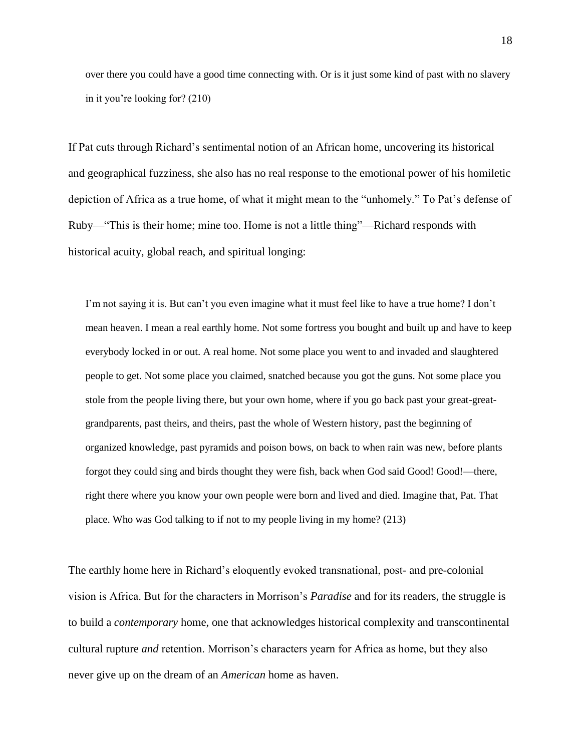over there you could have a good time connecting with. Or is it just some kind of past with no slavery in it you're looking for? (210)

If Pat cuts through Richard's sentimental notion of an African home, uncovering its historical and geographical fuzziness, she also has no real response to the emotional power of his homiletic depiction of Africa as a true home, of what it might mean to the "unhomely." To Pat's defense of Ruby—"This is their home; mine too. Home is not a little thing"—Richard responds with historical acuity, global reach, and spiritual longing:

I'm not saying it is. But can't you even imagine what it must feel like to have a true home? I don't mean heaven. I mean a real earthly home. Not some fortress you bought and built up and have to keep everybody locked in or out. A real home. Not some place you went to and invaded and slaughtered people to get. Not some place you claimed, snatched because you got the guns. Not some place you stole from the people living there, but your own home, where if you go back past your great-greatgrandparents, past theirs, and theirs, past the whole of Western history, past the beginning of organized knowledge, past pyramids and poison bows, on back to when rain was new, before plants forgot they could sing and birds thought they were fish, back when God said Good! Good!—there, right there where you know your own people were born and lived and died. Imagine that, Pat. That place. Who was God talking to if not to my people living in my home? (213)

The earthly home here in Richard's eloquently evoked transnational, post- and pre-colonial vision is Africa. But for the characters in Morrison's *Paradise* and for its readers, the struggle is to build a *contemporary* home, one that acknowledges historical complexity and transcontinental cultural rupture *and* retention. Morrison's characters yearn for Africa as home, but they also never give up on the dream of an *American* home as haven.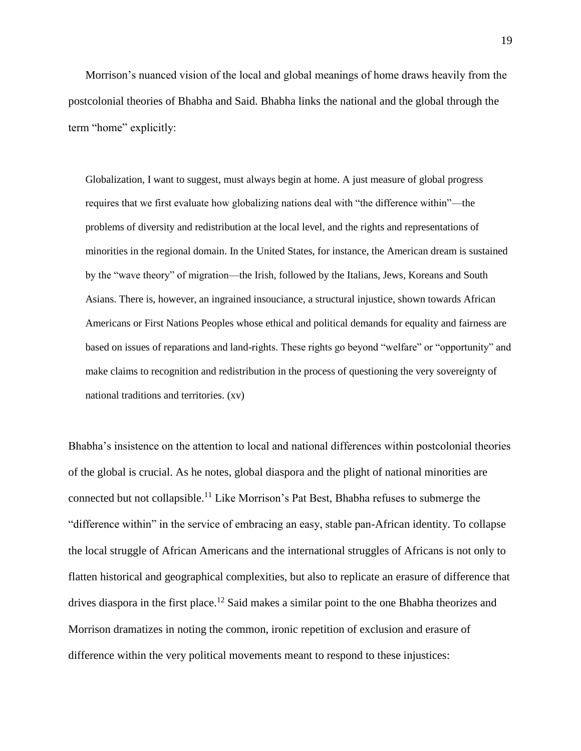Morrison's nuanced vision of the local and global meanings of home draws heavily from the postcolonial theories of Bhabha and Said. Bhabha links the national and the global through the term "home" explicitly:

Globalization, I want to suggest, must always begin at home. A just measure of global progress requires that we first evaluate how globalizing nations deal with "the difference within"—the problems of diversity and redistribution at the local level, and the rights and representations of minorities in the regional domain. In the United States, for instance, the American dream is sustained by the "wave theory" of migration—the Irish, followed by the Italians, Jews, Koreans and South Asians. There is, however, an ingrained insouciance, a structural injustice, shown towards African Americans or First Nations Peoples whose ethical and political demands for equality and fairness are based on issues of reparations and land-rights. These rights go beyond "welfare" or "opportunity" and make claims to recognition and redistribution in the process of questioning the very sovereignty of national traditions and territories. (xv)

Bhabha's insistence on the attention to local and national differences within postcolonial theories of the global is crucial. As he notes, global diaspora and the plight of national minorities are connected but not collapsible.<sup>11</sup> Like Morrison's Pat Best, Bhabha refuses to submerge the "difference within" in the service of embracing an easy, stable pan-African identity. To collapse the local struggle of African Americans and the international struggles of Africans is not only to flatten historical and geographical complexities, but also to replicate an erasure of difference that drives diaspora in the first place.<sup>12</sup> Said makes a similar point to the one Bhabha theorizes and Morrison dramatizes in noting the common, ironic repetition of exclusion and erasure of difference within the very political movements meant to respond to these injustices: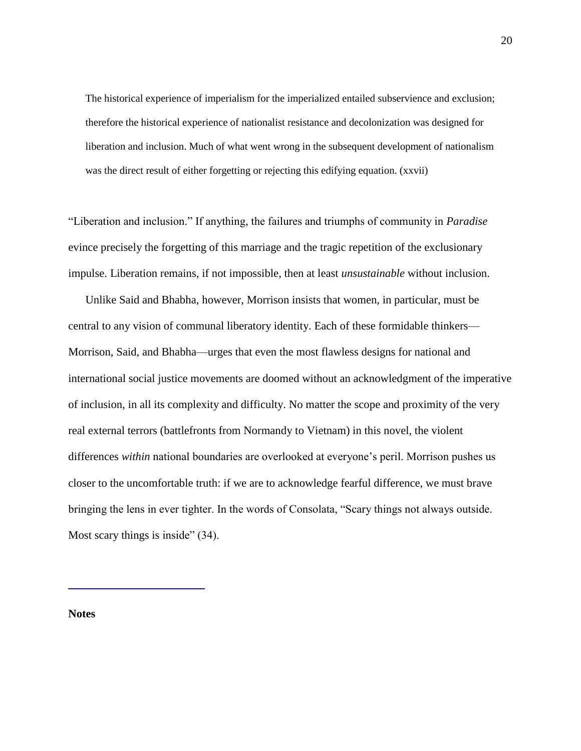The historical experience of imperialism for the imperialized entailed subservience and exclusion; therefore the historical experience of nationalist resistance and decolonization was designed for liberation and inclusion. Much of what went wrong in the subsequent development of nationalism was the direct result of either forgetting or rejecting this edifying equation. (xxvii)

"Liberation and inclusion." If anything, the failures and triumphs of community in *Paradise* evince precisely the forgetting of this marriage and the tragic repetition of the exclusionary impulse. Liberation remains, if not impossible, then at least *unsustainable* without inclusion.

Unlike Said and Bhabha, however, Morrison insists that women, in particular, must be central to any vision of communal liberatory identity. Each of these formidable thinkers— Morrison, Said, and Bhabha—urges that even the most flawless designs for national and international social justice movements are doomed without an acknowledgment of the imperative of inclusion, in all its complexity and difficulty. No matter the scope and proximity of the very real external terrors (battlefronts from Normandy to Vietnam) in this novel, the violent differences *within* national boundaries are overlooked at everyone's peril. Morrison pushes us closer to the uncomfortable truth: if we are to acknowledge fearful difference, we must brave bringing the lens in ever tighter. In the words of Consolata, "Scary things not always outside. Most scary things is inside" (34).

**Notes**

 $\overline{a}$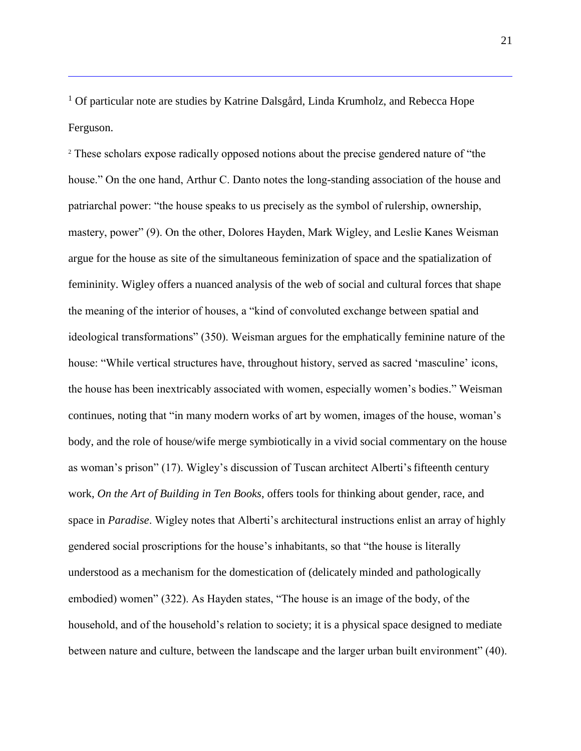<sup>1</sup> Of particular note are studies by Katrine Dalsgård, Linda Krumholz, and Rebecca Hope Ferguson.

 $\overline{a}$ 

<sup>2</sup> These scholars expose radically opposed notions about the precise gendered nature of "the house." On the one hand, Arthur C. Danto notes the long-standing association of the house and patriarchal power: "the house speaks to us precisely as the symbol of rulership, ownership, mastery, power" (9). On the other, Dolores Hayden, Mark Wigley, and Leslie Kanes Weisman argue for the house as site of the simultaneous feminization of space and the spatialization of femininity. Wigley offers a nuanced analysis of the web of social and cultural forces that shape the meaning of the interior of houses, a "kind of convoluted exchange between spatial and ideological transformations" (350). Weisman argues for the emphatically feminine nature of the house: "While vertical structures have, throughout history, served as sacred 'masculine' icons, the house has been inextricably associated with women, especially women's bodies." Weisman continues, noting that "in many modern works of art by women, images of the house, woman's body, and the role of house/wife merge symbiotically in a vivid social commentary on the house as woman's prison" (17). Wigley's discussion of Tuscan architect Alberti's fifteenth century work, *On the Art of Building in Ten Books*, offers tools for thinking about gender, race, and space in *Paradise*. Wigley notes that Alberti's architectural instructions enlist an array of highly gendered social proscriptions for the house's inhabitants, so that "the house is literally understood as a mechanism for the domestication of (delicately minded and pathologically embodied) women" (322). As Hayden states, "The house is an image of the body, of the household, and of the household's relation to society; it is a physical space designed to mediate between nature and culture, between the landscape and the larger urban built environment" (40).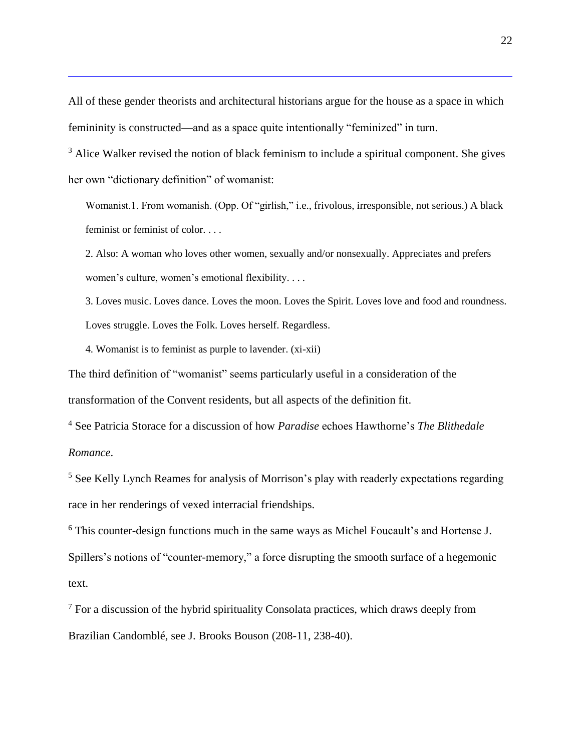All of these gender theorists and architectural historians argue for the house as a space in which femininity is constructed—and as a space quite intentionally "feminized" in turn.

 $3$  Alice Walker revised the notion of black feminism to include a spiritual component. She gives her own "dictionary definition" of womanist:

Womanist.1. From womanish. (Opp. Of "girlish," i.e., frivolous, irresponsible, not serious.) A black feminist or feminist of color. . . .

2. Also: A woman who loves other women, sexually and/or nonsexually. Appreciates and prefers women's culture, women's emotional flexibility. . . .

3. Loves music. Loves dance. Loves the moon. Loves the Spirit. Loves love and food and roundness. Loves struggle. Loves the Folk. Loves herself. Regardless.

4. Womanist is to feminist as purple to lavender. (xi-xii)

 $\overline{a}$ 

The third definition of "womanist" seems particularly useful in a consideration of the transformation of the Convent residents, but all aspects of the definition fit.

<sup>4</sup> See Patricia Storace for a discussion of how *Paradise* echoes Hawthorne's *The Blithedale Romance*.

<sup>5</sup> See Kelly Lynch Reames for analysis of Morrison's play with readerly expectations regarding race in her renderings of vexed interracial friendships.

<sup>6</sup> This counter-design functions much in the same ways as Michel Foucault's and Hortense J. Spillers's notions of "counter-memory," a force disrupting the smooth surface of a hegemonic text.

 $<sup>7</sup>$  For a discussion of the hybrid spirituality Consolata practices, which draws deeply from</sup> Brazilian Candomblé, see J. Brooks Bouson (208-11, 238-40).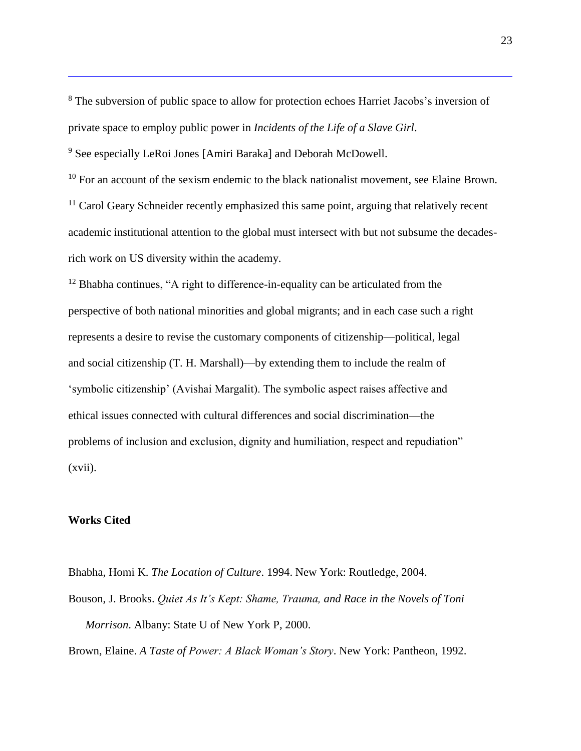<sup>8</sup> The subversion of public space to allow for protection echoes Harriet Jacobs's inversion of private space to employ public power in *Incidents of the Life of a Slave Girl*.

<sup>9</sup> See especially LeRoi Jones [Amiri Baraka] and Deborah McDowell.

<sup>10</sup> For an account of the sexism endemic to the black nationalist movement, see Elaine Brown.

 $11$  Carol Geary Schneider recently emphasized this same point, arguing that relatively recent academic institutional attention to the global must intersect with but not subsume the decadesrich work on US diversity within the academy.

<sup>12</sup> Bhabha continues, "A right to difference-in-equality can be articulated from the perspective of both national minorities and global migrants; and in each case such a right represents a desire to revise the customary components of citizenship—political, legal and social citizenship (T. H. Marshall)—by extending them to include the realm of 'symbolic citizenship' (Avishai Margalit). The symbolic aspect raises affective and ethical issues connected with cultural differences and social discrimination—the problems of inclusion and exclusion, dignity and humiliation, respect and repudiation" (xvii).

## **Works Cited**

 $\overline{a}$ 

Bhabha, Homi K. *The Location of Culture*. 1994. New York: Routledge, 2004. Bouson, J. Brooks. *Quiet As It's Kept: Shame, Trauma, and Race in the Novels of Toni Morrison*. Albany: State U of New York P, 2000.

Brown, Elaine. *A Taste of Power: A Black Woman's Story*. New York: Pantheon, 1992.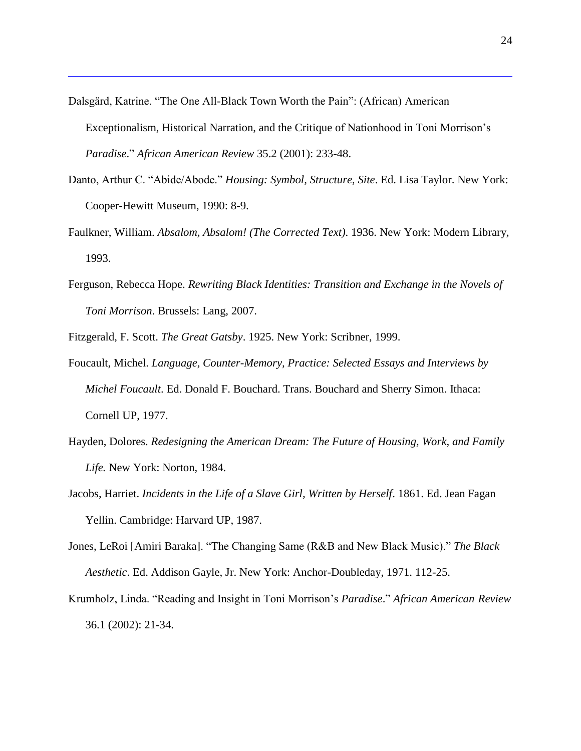Dalsgärd, Katrine. "The One All-Black Town Worth the Pain": (African) American Exceptionalism, Historical Narration, and the Critique of Nationhood in Toni Morrison's *Paradise*." *African American Review* 35.2 (2001): 233-48.

- Danto, Arthur C. "Abide/Abode." *Housing: Symbol, Structure, Site*. Ed. Lisa Taylor. New York: Cooper-Hewitt Museum, 1990: 8-9.
- Faulkner, William. *Absalom, Absalom! (The Corrected Text)*. 1936. New York: Modern Library, 1993.
- Ferguson, Rebecca Hope. *Rewriting Black Identities: Transition and Exchange in the Novels of Toni Morrison*. Brussels: Lang, 2007.

Fitzgerald, F. Scott. *The Great Gatsby*. 1925. New York: Scribner, 1999.

 $\overline{a}$ 

- Foucault, Michel. *Language, Counter-Memory, Practice: Selected Essays and Interviews by Michel Foucault*. Ed. Donald F. Bouchard. Trans. Bouchard and Sherry Simon. Ithaca: Cornell UP, 1977.
- Hayden, Dolores. *Redesigning the American Dream: The Future of Housing, Work, and Family Life.* New York: Norton, 1984.
- Jacobs, Harriet. *Incidents in the Life of a Slave Girl, Written by Herself*. 1861. Ed. Jean Fagan Yellin. Cambridge: Harvard UP, 1987.
- Jones, LeRoi [Amiri Baraka]. "The Changing Same (R&B and New Black Music)." *The Black Aesthetic*. Ed. Addison Gayle, Jr. New York: Anchor-Doubleday, 1971. 112-25.
- Krumholz, Linda. "Reading and Insight in Toni Morrison's *Paradise*." *African American Review*  36.1 (2002): 21-34.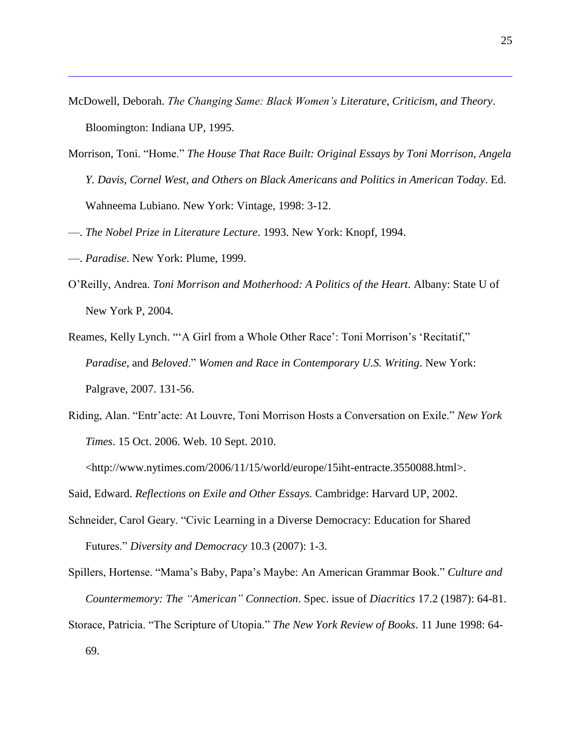- McDowell, Deborah. *The Changing Same: Black Women's Literature, Criticism, and Theory*. Bloomington: Indiana UP, 1995.
- Morrison, Toni. "Home." *The House That Race Built: Original Essays by Toni Morrison, Angela Y. Davis, Cornel West, and Others on Black Americans and Politics in American Today*. Ed. Wahneema Lubiano. New York: Vintage, 1998: 3-12.
- —. *The Nobel Prize in Literature Lecture*. 1993. New York: Knopf, 1994.
- —. *Paradise*. New York: Plume, 1999.

 $\overline{a}$ 

- O'Reilly, Andrea. *Toni Morrison and Motherhood: A Politics of the Heart*. Albany: State U of New York P, 2004.
- Reames, Kelly Lynch. "'A Girl from a Whole Other Race': Toni Morrison's 'Recitatif," *Paradise*, and *Beloved*." *Women and Race in Contemporary U.S. Writing*. New York: Palgrave, 2007. 131-56.
- Riding, Alan. "Entr'acte: At Louvre, Toni Morrison Hosts a Conversation on Exile." *New York Times*. 15 Oct. 2006. Web. 10 Sept. 2010.

<http://www.nytimes.com/2006/11/15/world/europe/15iht-entracte.3550088.html>.

- Said, Edward. *Reflections on Exile and Other Essays.* Cambridge: Harvard UP, 2002.
- Schneider, Carol Geary. "Civic Learning in a Diverse Democracy: Education for Shared Futures." *Diversity and Democracy* 10.3 (2007): 1-3.

Spillers, Hortense. "Mama's Baby, Papa's Maybe: An American Grammar Book." *Culture and Countermemory: The "American" Connection*. Spec. issue of *Diacritics* 17.2 (1987): 64-81. Storace, Patricia. "The Scripture of Utopia." *The New York Review of Books*. 11 June 1998: 64-

69.